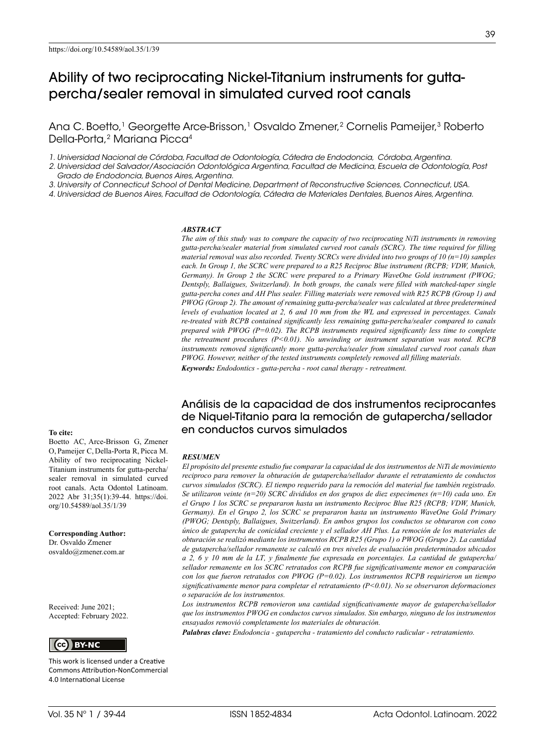# Ability of two reciprocating Nickel-Titanium instruments for guttapercha/sealer removal in simulated curved root canals

Ana C. Boetto,<sup>1</sup> Georgette Arce-Brisson,<sup>1</sup> Osvaldo Zmener,<sup>2</sup> Cornelis Pameijer,<sup>3</sup> Roberto Della-Porta,2 Mariana Picca4

*1. Universidad Nacional de Córdoba, Facultad de Odontología, Cátedra de Endodoncia, Córdoba, Argentina.* 

*2. Universidad del Salvador/Asociación Odontológica Argentina, Facultad de Medicina, Escuela de Odontología, Post Grado de Endodoncia, Buenos Aires, Argentina.*

*3. University of Connecticut School of Dental Medicine, Department of Reconstructive Sciences, Connecticut, USA.* 

*4. Universidad de Buenos Aires, Facultad de Odontología, Cátedra de Materiales Dentales, Buenos Aires, Argentina.* 

#### *ABSTRACT*

*The aim of this study was to compare the capacity of two reciprocating NiTi instruments in removing gutta-percha/sealer material from simulated curved root canals (SCRC). The time required for filling material removal was also recorded. Twenty SCRCs were divided into two groups of 10 (n=10) samples each. In Group 1, the SCRC were prepared to a R25 Reciproc Blue instrument (RCPB; VDW, Munich, Germany). In Group 2 the SCRC were prepared to a Primary WaveOne Gold instrument (PWOG; Dentsply, Ballaigues, Switzerland). In both groups, the canals were filled with matched-taper single gutta-percha cones and AH Plus sealer. Filling materials were removed with R25 RCPB (Group 1) and PWOG (Group 2). The amount of remaining gutta-percha/sealer was calculated at three predetermined levels of evaluation located at 2, 6 and 10 mm from the WL and expressed in percentages. Canals re-treated with RCPB contained significantly less remaining gutta-percha/sealer compared to canals prepared with PWOG (P=0.02). The RCPB instruments required significantly less time to complete the retreatment procedures (P<0.01). No unwinding or instrument separation was noted. RCPB instruments removed significantly more gutta-percha/sealer from simulated curved root canals than PWOG. However, neither of the tested instruments completely removed all filling materials.*

*Keywords: Endodontics - gutta-percha - root canal therapy - retreatment.*

### Análisis de la capacidad de dos instrumentos reciprocantes de Niquel-Titanio para la remoción de gutapercha/sellador en conductos curvos simulados

#### *RESUMEN*

*El propósito del presente estudio fue comparar la capacidad de dos instrumentos de NiTi de movimiento reciproco para remover la obturación de gutapercha/sellador durante el retratamiento de conductos curvos simulados (SCRC). El tiempo requerido para la remoción del material fue también registrado. Se utilizaron veinte (n=20) SCRC divididos en dos grupos de diez especimenes (n=10) cada uno. En el Grupo 1 los SCRC se prepararon hasta un instrumento Reciproc Blue R25 (RCPB; VDW, Munich, Germany). En el Grupo 2, los SCRC se prepararon hasta un instrumento WaveOne Gold Primary (PWOG; Dentsply, Ballaigues, Switzerland). En ambos grupos los conductos se obturaron con cono único de gutapercha de conicidad creciente y el sellador AH Plus. La remoción de los materiales de obturación se realizó mediante los instrumentos RCPB R25 (Grupo 1) o PWOG (Grupo 2). La cantidad de gutapercha/sellador remanente se calculó en tres niveles de evaluación predeterminados ubicados a 2, 6 y 10 mm de la LT, y finalmente fue expresada en porcentajes. La cantidad de gutapercha/ sellador remanente en los SCRC retratados con RCPB fue significativamente menor en comparación con los que fueron retratados con PWOG (P=0.02). Los instrumentos RCPB requirieron un tiempo significativamente menor para completar el retratamiento (P<0.01). No se observaron deformaciones o separación de los instrumentos.* 

*Los instrumentos RCPB removieron una cantidad significativamente mayor de gutapercha/sellador que los instrumentos PWOG en conductos curvos simulados. Sin embargo, ninguno de los instrumentos ensayados removió completamente los materiales de obturación.* 

*Palabras clave: Endodoncia - gutapercha - tratamiento del conducto radicular - retratamiento.* 

#### **To cite:**

Boetto AC, Arce-Brisson G, Zmener O, Pameijer C, Della-Porta R, Picca M. Ability of two reciprocating Nickel-Titanium instruments for gutta-percha/ sealer removal in simulated curved root canals. Acta Odontol Latinoam. 2022 Abr 31;35(1):39-44. https://doi. org/10.54589/aol.35/1/39

**Corresponding Author:**

Dr. Osvaldo Zmener osvaldo@zmener.com.ar

Received: June 2021; Accepted: February 2022.



This work is licensed under a Creative Commons Attribution-NonCommercial 4.0 International License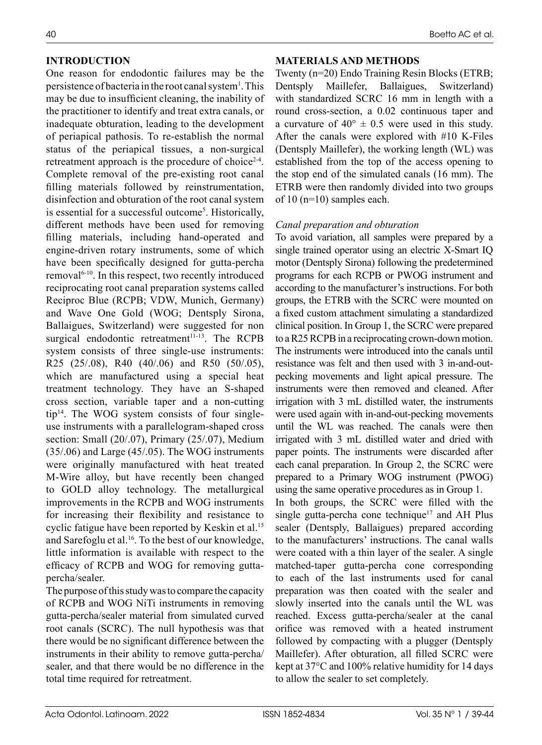### **INTRODUCTION**

One reason for endodontic failures may be the persistence of bacteria in the root canal system<sup>1</sup>. This may be due to insufficient cleaning, the inability of the practitioner to identify and treat extra canals, or inadequate obturation, leading to the development of periapical pathosis. To re-establish the normal status of the periapical tissues, a non-surgical retreatment approach is the procedure of choice<sup>2-4</sup>. Complete removal of the pre-existing root canal filling materials followed by reinstrumentation, disinfection and obturation of the root canal system is essential for a successful outcome<sup>5</sup>. Historically, different methods have been used for removing filling materials, including hand-operated and engine-driven rotary instruments, some of which have been specifically designed for gutta-percha removal<sup>6-10</sup>. In this respect, two recently introduced reciprocating root canal preparation systems called Reciproc Blue (RCPB; VDW, Munich, Germany) and Wave One Gold (WOG; Dentsply Sirona, Ballaigues, Switzerland) were suggested for non surgical endodontic retreatment<sup>11-13</sup>. The RCPB system consists of three single-use instruments: R25 (25/.08), R40 (40/.06) and R50 (50/.05), which are manufactured using a special heat treatment technology. They have an S-shaped cross section, variable taper and a non-cutting tip14. The WOG system consists of four singleuse instruments with a parallelogram-shaped cross section: Small (20/.07), Primary (25/.07), Medium (35/.06) and Large (45/.05). The WOG instruments were originally manufactured with heat treated M-Wire alloy, but have recently been changed to GOLD alloy technology. The metallurgical improvements in the RCPB and WOG instruments for increasing their flexibility and resistance to cyclic fatigue have been reported by Keskin et al.<sup>15</sup> and Sarefoglu et al.16. To the best of our knowledge, little information is available with respect to the efficacy of RCPB and WOG for removing guttapercha/sealer.

The purpose of this study was to compare the capacity of RCPB and WOG NiTi instruments in removing gutta-percha/sealer material from simulated curved root canals (SCRC). The null hypothesis was that there would be no significant difference between the instruments in their ability to remove gutta-percha/ sealer, and that there would be no difference in the total time required for retreatment.

### **MATERIALS AND METHODS**

Twenty (n=20) Endo Training Resin Blocks (ETRB; Dentsply Maillefer, Ballaigues, Switzerland) with standardized SCRC 16 mm in length with a round cross-section, a 0.02 continuous taper and a curvature of  $40^{\circ} \pm 0.5$  were used in this study. After the canals were explored with #10 K-Files (Dentsply Maillefer), the working length (WL) was established from the top of the access opening to the stop end of the simulated canals (16 mm). The ETRB were then randomly divided into two groups of 10 (n=10) samples each.

### *Canal preparation and obturation*

To avoid variation, all samples were prepared by a single trained operator using an electric X-Smart IQ motor (Dentsply Sirona) following the predetermined programs for each RCPB or PWOG instrument and according to the manufacturer's instructions. For both groups, the ETRB with the SCRC were mounted on a fixed custom attachment simulating a standardized clinical position. In Group 1, the SCRC were prepared to a R25 RCPB in a reciprocating crown-down motion. The instruments were introduced into the canals until resistance was felt and then used with 3 in-and-outpecking movements and light apical pressure. The instruments were then removed and cleaned. After irrigation with 3 mL distilled water, the instruments were used again with in-and-out-pecking movements until the WL was reached. The canals were then irrigated with 3 mL distilled water and dried with paper points. The instruments were discarded after each canal preparation. In Group 2, the SCRC were prepared to a Primary WOG instrument (PWOG) using the same operative procedures as in Group 1.

In both groups, the SCRC were filled with the single gutta-percha cone technique<sup>17</sup> and AH Plus sealer (Dentsply, Ballaigues) prepared according to the manufacturers' instructions. The canal walls were coated with a thin layer of the sealer. A single matched-taper gutta-percha cone corresponding to each of the last instruments used for canal preparation was then coated with the sealer and slowly inserted into the canals until the WL was reached. Excess gutta-percha/sealer at the canal orifice was removed with a heated instrument followed by compacting with a plugger (Dentsply Maillefer). After obturation, all filled SCRC were kept at 37°C and 100% relative humidity for 14 days to allow the sealer to set completely.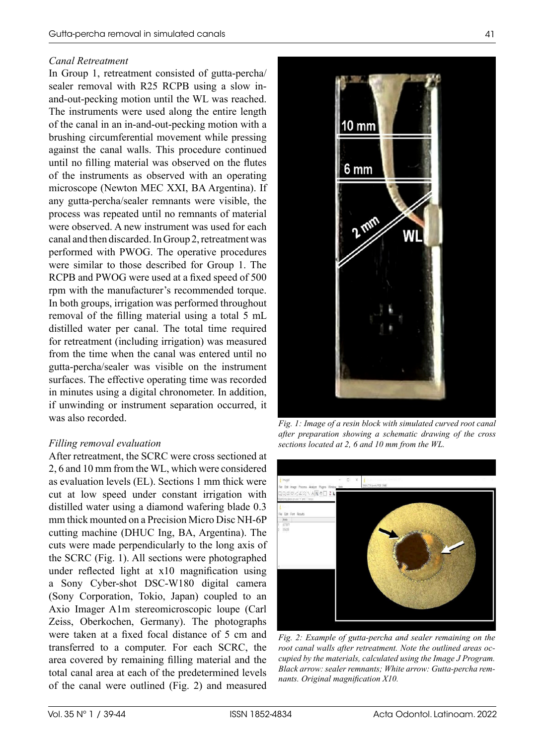### *Canal Retreatment*

In Group 1, retreatment consisted of gutta-percha/ sealer removal with R25 RCPB using a slow inand-out-pecking motion until the WL was reached. The instruments were used along the entire length of the canal in an in-and-out-pecking motion with a brushing circumferential movement while pressing against the canal walls. This procedure continued until no filling material was observed on the flutes of the instruments as observed with an operating microscope (Newton MEC XXI, BA Argentina). If any gutta-percha/sealer remnants were visible, the process was repeated until no remnants of material were observed. A new instrument was used for each canal and then discarded. In Group 2, retreatment was performed with PWOG. The operative procedures were similar to those described for Group 1. The RCPB and PWOG were used at a fixed speed of 500 rpm with the manufacturer's recommended torque. In both groups, irrigation was performed throughout removal of the filling material using a total 5 mL distilled water per canal. The total time required for retreatment (including irrigation) was measured from the time when the canal was entered until no gutta-percha/sealer was visible on the instrument surfaces. The effective operating time was recorded in minutes using a digital chronometer. In addition, if unwinding or instrument separation occurred, it was also recorded.

# *Filling removal evaluation*

After retreatment, the SCRC were cross sectioned at 2, 6 and 10 mm from the WL, which were considered as evaluation levels (EL). Sections 1 mm thick were cut at low speed under constant irrigation with distilled water using a diamond wafering blade 0.3 mm thick mounted on a Precision Micro Disc NH-6P cutting machine (DHUC Ing, BA, Argentina). The cuts were made perpendicularly to the long axis of the SCRC (Fig. 1). All sections were photographed under reflected light at x10 magnification using a Sony Cyber-shot DSC-W180 digital camera (Sony Corporation, Tokio, Japan) coupled to an Axio Imager A1m stereomicroscopic loupe (Carl Zeiss, Oberkochen, Germany). The photographs were taken at a fixed focal distance of 5 cm and transferred to a computer. For each SCRC, the area covered by remaining filling material and the total canal area at each of the predetermined levels of the canal were outlined (Fig. 2) and measured



*Fig. 1: Image of a resin block with simulated curved root canal after preparation showing a schematic drawing of the cross sections located at 2, 6 and 10 mm from the WL.*



*Fig. 2: Example of gutta-percha and sealer remaining on the root canal walls after retreatment. Note the outlined areas occupied by the materials, calculated using the Image J Program. Black arrow: sealer remnants; White arrow: Gutta-percha remnants. Original magnification X10.*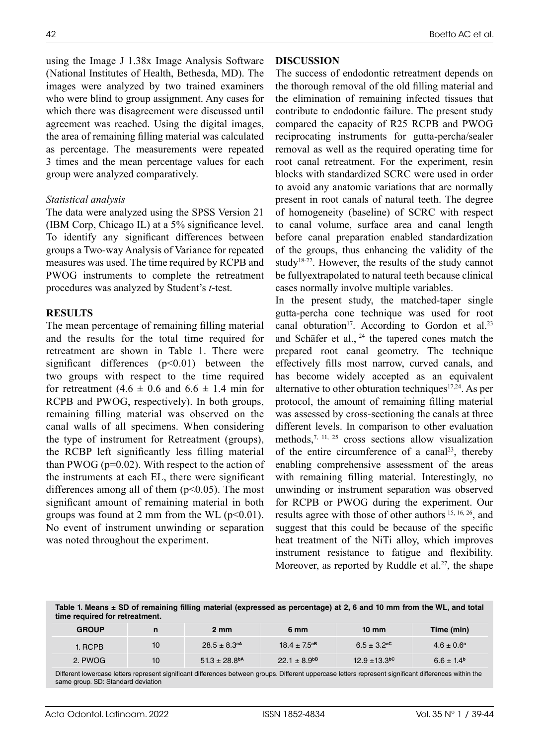using the Image J 1.38x Image Analysis Software (National Institutes of Health, Bethesda, MD). The images were analyzed by two trained examiners who were blind to group assignment. Any cases for which there was disagreement were discussed until agreement was reached. Using the digital images, the area of remaining filling material was calculated as percentage. The measurements were repeated 3 times and the mean percentage values for each group were analyzed comparatively.

### *Statistical analysis*

The data were analyzed using the SPSS Version 21 (IBM Corp, Chicago IL) at a 5% significance level. To identify any significant differences between groups a Two-way Analysis of Variance for repeated measures was used. The time required by RCPB and PWOG instruments to complete the retreatment procedures was analyzed by Student's *t*-test.

### **RESULTS**

The mean percentage of remaining filling material and the results for the total time required for retreatment are shown in Table 1. There were significant differences  $(p<0.01)$  between the two groups with respect to the time required for retreatment  $(4.6 \pm 0.6 \text{ and } 6.6 \pm 1.4 \text{ min}$  for RCPB and PWOG, respectively). In both groups, remaining filling material was observed on the canal walls of all specimens. When considering the type of instrument for Retreatment (groups), the RCBP left significantly less filling material than PWOG ( $p=0.02$ ). With respect to the action of the instruments at each EL, there were significant differences among all of them  $(p<0.05)$ . The most significant amount of remaining material in both groups was found at 2 mm from the WL  $(p<0.01)$ . No event of instrument unwinding or separation was noted throughout the experiment.

# **DISCUSSION**

The success of endodontic retreatment depends on the thorough removal of the old filling material and the elimination of remaining infected tissues that contribute to endodontic failure. The present study compared the capacity of R25 RCPB and PWOG reciprocating instruments for gutta-percha/sealer removal as well as the required operating time for root canal retreatment. For the experiment, resin blocks with standardized SCRC were used in order to avoid any anatomic variations that are normally present in root canals of natural teeth. The degree of homogeneity (baseline) of SCRC with respect to canal volume, surface area and canal length before canal preparation enabled standardization of the groups, thus enhancing the validity of the study18-22. However, the results of the study cannot be fullyextrapolated to natural teeth because clinical cases normally involve multiple variables.

In the present study, the matched-taper single gutta-percha cone technique was used for root canal obturation<sup>17</sup>. According to Gordon et al.<sup>23</sup> and Schäfer et al.,  $24$  the tapered cones match the prepared root canal geometry. The technique effectively fills most narrow, curved canals, and has become widely accepted as an equivalent alternative to other obturation techniques<sup>17,24</sup>. As per protocol, the amount of remaining filling material was assessed by cross-sectioning the canals at three different levels. In comparison to other evaluation methods,  $7, 11, 25$  cross sections allow visualization of the entire circumference of a canal<sup>23</sup>, thereby enabling comprehensive assessment of the areas with remaining filling material. Interestingly, no unwinding or instrument separation was observed for RCPB or PWOG during the experiment. Our results agree with those of other authors 15, 16, 26, and suggest that this could be because of the specific heat treatment of the NiTi alloy, which improves instrument resistance to fatigue and flexibility. Moreover, as reported by Ruddle et al.<sup>27</sup>, the shape

**Table 1. Means ± SD of remaining filling material (expressed as percentage) at 2, 6 and 10 mm from the WL, and total time required for retreatment.**

| <b>GROUP</b> | n  | $2 \text{ mm}$                | 6 mm                | $10 \text{ mm}$             | Time (min)            |
|--------------|----|-------------------------------|---------------------|-----------------------------|-----------------------|
| 1. RCPB      | 10 | $28.5 \pm 8.3$ <sup>aA</sup>  | $18.4 \pm 7.5^{aB}$ | $6.5 + 3.2$ <sup>aC</sup>   | $4.6 \pm 0.6^a$       |
| 2. PWOG      | 10 | $51.3 \pm 28.8$ <sup>bA</sup> | $22.1 \pm 8.9^{bB}$ | $12.9 + 13.3$ <sup>bc</sup> | $6.6 \pm 1.4^{\rm b}$ |

Different lowercase letters represent significant differences between groups. Different uppercase letters represent significant differences within the same group. SD: Standard deviation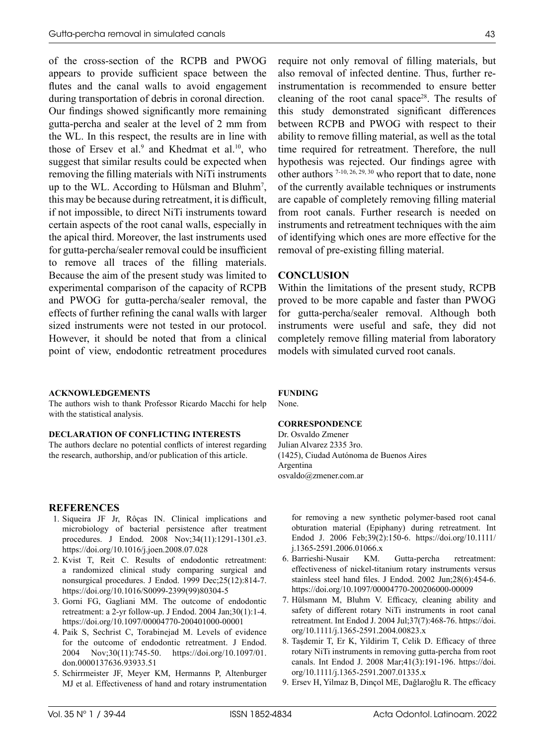of the cross-section of the RCPB and PWOG appears to provide sufficient space between the flutes and the canal walls to avoid engagement during transportation of debris in coronal direction. Our findings showed significantly more remaining gutta-percha and sealer at the level of 2 mm from the WL. In this respect, the results are in line with those of Ersev et al.<sup>9</sup> and Khedmat et al.<sup>10</sup>, who suggest that similar results could be expected when removing the filling materials with NiTi instruments up to the WL. According to Hülsman and Bluhm7 , this may be because during retreatment, it is difficult, if not impossible, to direct NiTi instruments toward certain aspects of the root canal walls, especially in the apical third. Moreover, the last instruments used for gutta-percha/sealer removal could be insufficient to remove all traces of the filling materials. Because the aim of the present study was limited to experimental comparison of the capacity of RCPB and PWOG for gutta-percha/sealer removal, the effects of further refining the canal walls with larger sized instruments were not tested in our protocol. However, it should be noted that from a clinical point of view, endodontic retreatment procedures

#### **ACKNOWLEDGEMENTS**

The authors wish to thank Professor Ricardo Macchi for help with the statistical analysis.

#### **DECLARATION OF CONFLICTING INTERESTS**

The authors declare no potential conflicts of interest regarding the research, authorship, and/or publication of this article.

#### **REFERENCES**

- 1. Siqueira JF Jr, Rôças IN. Clinical implications and microbiology of bacterial persistence after treatment procedures. J Endod. 2008 Nov;34(11):1291-1301.e3. <https://doi.org/10.1016/j.joen.2008.07.028>
- 2. Kvist T, Reit C. Results of endodontic retreatment: a randomized clinical study comparing surgical and nonsurgical procedures. J Endod. 1999 Dec;25(12):814-7. [https://doi.org/10.1016/S0099-2399\(99\)80304-5](https://doi.org/10.1016/S0099-2399(99)80304-5)
- 3. Gorni FG, Gagliani MM. The outcome of endodontic retreatment: a 2-yr follow-up. J Endod. 2004 Jan;30(1):1-4. <https://doi.org/10.1097/00004770-200401000-00001>
- 4. Paik S, Sechrist C, Torabinejad M. Levels of evidence for the outcome of endodontic retreatment. J Endod. 2004 Nov;30(11):745-50. [https://doi.org/10.1097/01.](https://doi.org/10.1097/01.don.0000137636.93933.51) [don.0000137636.93933.51](https://doi.org/10.1097/01.don.0000137636.93933.51)
- 5. Schirrmeister JF, Meyer KM, Hermanns P, Altenburger MJ et al. Effectiveness of hand and rotary instrumentation

require not only removal of filling materials, but also removal of infected dentine. Thus, further reinstrumentation is recommended to ensure better cleaning of the root canal space<sup>28</sup>. The results of this study demonstrated significant differences between RCPB and PWOG with respect to their ability to remove filling material, as well as the total time required for retreatment. Therefore, the null hypothesis was rejected. Our findings agree with other authors 7-10, 26, 29, 30 who report that to date, none of the currently available techniques or instruments are capable of completely removing filling material from root canals. Further research is needed on instruments and retreatment techniques with the aim of identifying which ones are more effective for the

#### **CONCLUSION**

Within the limitations of the present study, RCPB proved to be more capable and faster than PWOG for gutta-percha/sealer removal. Although both instruments were useful and safe, they did not completely remove filling material from laboratory models with simulated curved root canals.

removal of pre-existing filling material.

#### **FUNDING**

None.

#### **CORRESPONDENCE**

Dr. Osvaldo Zmener Julian Alvarez 2335 3ro. (1425), Ciudad Autónoma de Buenos Aires Argentina [osvaldo@zmener.com.ar](mailto:osvaldo@zmener.com.ar)

for removing a new synthetic polymer-based root canal obturation material (Epiphany) during retreatment. Int Endod J. 2006 Feb;39(2):150-6. [https://doi.org/10.1111/](https://doi.org/10.1111/j.1365-2591.2006.01066.x) [j.1365-2591.2006.01066.x](https://doi.org/10.1111/j.1365-2591.2006.01066.x)

- 6. Barrieshi-Nusair KM. Gutta-percha retreatment: effectiveness of nickel-titanium rotary instruments versus stainless steel hand files. J Endod. 2002 Jun;28(6):454-6. <https://doi.org/10.1097/00004770-200206000-00009>
- 7. Hülsmann M, Bluhm V. Efficacy, cleaning ability and safety of different rotary NiTi instruments in root canal retreatment. Int Endod J. 2004 Jul;37(7):468-76. [https://doi.](https://doi.org/10.1111/j.1365-2591.2004.00823.x) [org/10.1111/j.1365-2591.2004.00823.x](https://doi.org/10.1111/j.1365-2591.2004.00823.x)
- 8. Taşdemir T, Er K, Yildirim T, Celik D. Efficacy of three rotary NiTi instruments in removing gutta-percha from root canals. Int Endod J. 2008 Mar;41(3):191-196. [https://doi.](https://doi.org/10.1111/j.1365-2591.2007.01335.xhttps://doi.org/10.1111/j.1365-2591.2007.01335.x) [org/10.1111/j.1365-2591.2007.01335.x](https://doi.org/10.1111/j.1365-2591.2007.01335.xhttps://doi.org/10.1111/j.1365-2591.2007.01335.x)
- 9. Ersev H, Yilmaz B, Dinçol ME, Dağlaroğlu R. The efficacy